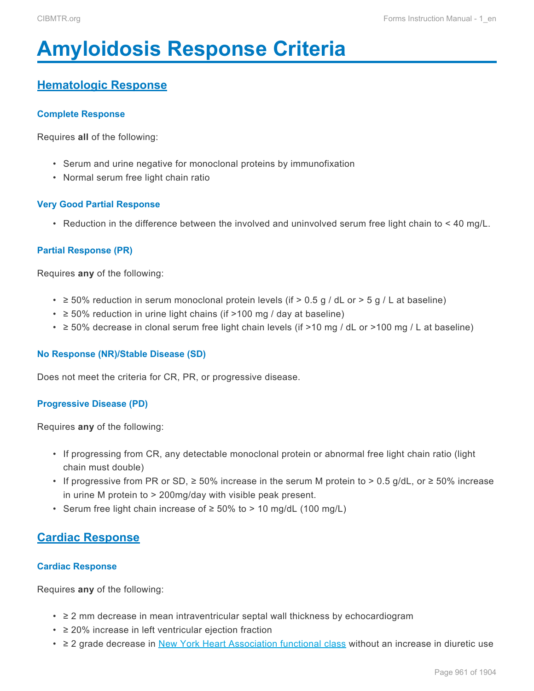# <span id="page-0-0"></span>**Amyloidosis Response Criteria**

## **Hematologic Response**

#### **Complete Response**

Requires **all** of the following:

- Serum and urine negative for monoclonal proteins by immunofixation
- Normal serum free light chain ratio

#### **Very Good Partial Response**

• Reduction in the difference between the involved and uninvolved serum free light chain to < 40 mg/L.

#### **Partial Response (PR)**

Requires **any** of the following:

- $\geq$  50% reduction in serum monoclonal protein levels (if > 0.5 g / dL or > 5 g / L at baseline)
- $\cdot$   $\geq$  50% reduction in urine light chains (if >100 mg / day at baseline)
- ≥ 50% decrease in clonal serum free light chain levels (if >10 mg / dL or >100 mg / L at baseline)

#### **No Response (NR)/Stable Disease (SD)**

Does not meet the criteria for CR, PR, or progressive disease.

#### **Progressive Disease (PD)**

Requires **any** of the following:

- If progressing from CR, any detectable monoclonal protein or abnormal free light chain ratio (light chain must double)
- If progressive from PR or SD,  $\geq$  50% increase in the serum M protein to > 0.5 g/dL, or  $\geq$  50% increase in urine M protein to > 200mg/day with visible peak present.
- Serum free light chain increase of ≥ 50% to > 10 mg/dL (100 mg/L)

### **Cardiac Response**

#### **Cardiac Response**

Requires **any** of the following:

- ≥ 2 mm decrease in mean intraventricular septal wall thickness by echocardiogram
- ≥ 20% increase in left ventricular ejection fraction
- ≥ 2 grade decrease in [New York Heart Association functional class](#page-5-0) without an increase in diuretic use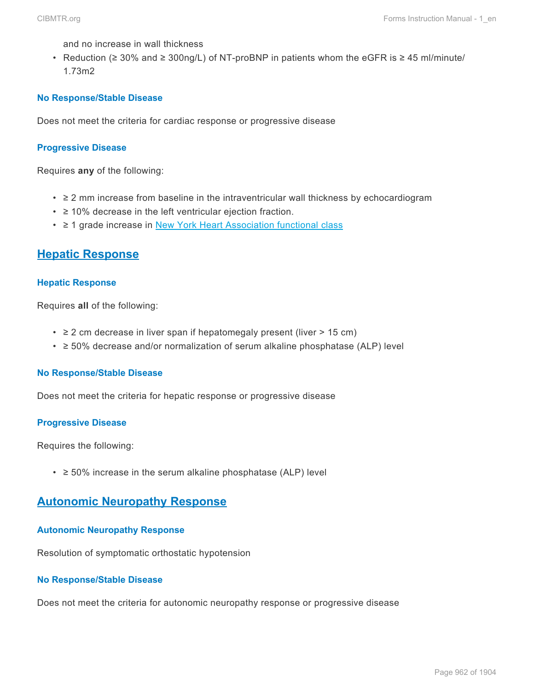and no increase in wall thickness

• Reduction (≥ 30% and ≥ 300ng/L) of NT-proBNP in patients whom the eGFR is ≥ 45 ml/minute/ 1.73m2

#### **No Response/Stable Disease**

Does not meet the criteria for cardiac response or progressive disease

#### **Progressive Disease**

Requires **any** of the following:

- ≥ 2 mm increase from baseline in the intraventricular wall thickness by echocardiogram
- ≥ 10% decrease in the left ventricular ejection fraction.
- ≥ 1 grade increase in [New York Heart Association functional class](#page-5-0)

### **Hepatic Response**

#### **Hepatic Response**

Requires **all** of the following:

- $\cdot$   $\geq$  2 cm decrease in liver span if hepatomegaly present (liver  $>$  15 cm)
- ≥ 50% decrease and/or normalization of serum alkaline phosphatase (ALP) level

#### **No Response/Stable Disease**

Does not meet the criteria for hepatic response or progressive disease

#### **Progressive Disease**

Requires the following:

 $\cdot$   $\geq$  50% increase in the serum alkaline phosphatase (ALP) level

## **Autonomic Neuropathy Response**

#### **Autonomic Neuropathy Response**

Resolution of symptomatic orthostatic hypotension

#### **No Response/Stable Disease**

Does not meet the criteria for autonomic neuropathy response or progressive disease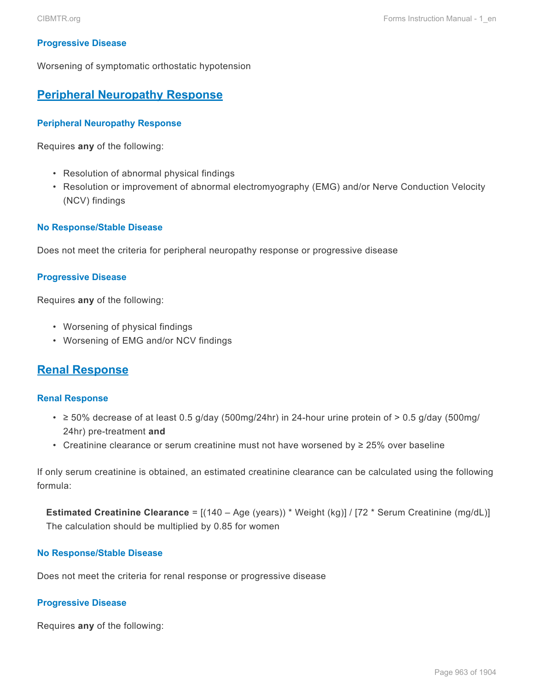#### **Progressive Disease**

Worsening of symptomatic orthostatic hypotension

## **Peripheral Neuropathy Response**

#### **Peripheral Neuropathy Response**

Requires **any** of the following:

- Resolution of abnormal physical findings
- Resolution or improvement of abnormal electromyography (EMG) and/or Nerve Conduction Velocity (NCV) findings

#### **No Response/Stable Disease**

Does not meet the criteria for peripheral neuropathy response or progressive disease

#### **Progressive Disease**

Requires **any** of the following:

- Worsening of physical findings
- Worsening of EMG and/or NCV findings

## **Renal Response**

#### **Renal Response**

- $\geq$  50% decrease of at least 0.5 g/day (500mg/24hr) in 24-hour urine protein of  $>$  0.5 g/day (500mg/ 24hr) pre-treatment **and**
- Creatinine clearance or serum creatinine must not have worsened by ≥ 25% over baseline

If only serum creatinine is obtained, an estimated creatinine clearance can be calculated using the following formula:

**Estimated Creatinine Clearance** = [(140 – Age (years)) \* Weight (kg)] / [72 \* Serum Creatinine (mg/dL)] The calculation should be multiplied by 0.85 for women

#### **No Response/Stable Disease**

Does not meet the criteria for renal response or progressive disease

#### **Progressive Disease**

Requires **any** of the following: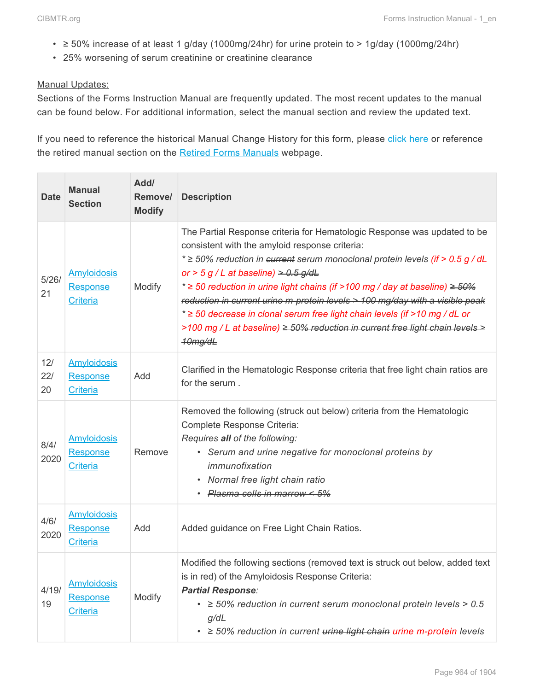- $\geq$  50% increase of at least 1 g/day (1000mg/24hr) for urine protein to > 1g/day (1000mg/24hr)
- 25% worsening of serum creatinine or creatinine clearance

#### Manual Updates:

Sections of the Forms Instruction Manual are frequently updated. The most recent updates to the manual can be found below. For additional information, select the manual section and review the updated text.

If you need to reference the historical Manual Change History for this form, please [click here](http://www.cibmtr.org/DataManagement/TrainingReference/Manuals/Retired%20Forms%20Manuals/Documents/2014.MDS%20Pre-HCT%20Data%20Manual%20Change%20History%20through%203.31.15.pdf) or reference the retired manual section on the [Retired Forms Manuals](http://www.cibmtr.org/DataManagement/TrainingReference/Manuals/Retired%20Forms%20Manuals/pages/index.aspx) webpage.

| <b>Date</b>      | <b>Manual</b><br><b>Section</b>                          | Add/<br>Remove/<br><b>Modify</b> | <b>Description</b>                                                                                                                                                                                                                                                                                                                                                                                                                                                                                                                                                                                            |
|------------------|----------------------------------------------------------|----------------------------------|---------------------------------------------------------------------------------------------------------------------------------------------------------------------------------------------------------------------------------------------------------------------------------------------------------------------------------------------------------------------------------------------------------------------------------------------------------------------------------------------------------------------------------------------------------------------------------------------------------------|
| 5/26/<br>21      | <b>Amyloidosis</b><br><b>Response</b><br><b>Criteria</b> | Modify                           | The Partial Response criteria for Hematologic Response was updated to be<br>consistent with the amyloid response criteria:<br>* ≥ 50% reduction in eurrent serum monoclonal protein levels (if > 0.5 g / dL<br>or > 5 g / L at baseline) $> 0.5$ g/dL<br>* $\ge$ 50 reduction in urine light chains (if >100 mg / day at baseline) $\ge$ 50%<br>reduction in current urine m-protein levels $>$ 100 mg/day with a visible peak<br>* ≥ 50 decrease in clonal serum free light chain levels (if >10 mg / dL or<br>>100 mg / L at baseline) $\geq$ 50% reduction in current free light chain levels ><br>10mg/dL |
| 12/<br>22/<br>20 | <b>Amyloidosis</b><br><b>Response</b><br><b>Criteria</b> | Add                              | Clarified in the Hematologic Response criteria that free light chain ratios are<br>for the serum.                                                                                                                                                                                                                                                                                                                                                                                                                                                                                                             |
| 8/4/<br>2020     | <b>Amyloidosis</b><br>Response<br>Criteria               | Remove                           | Removed the following (struck out below) criteria from the Hematologic<br>Complete Response Criteria:<br>Requires all of the following:<br>• Serum and urine negative for monoclonal proteins by<br>immunofixation<br>• Normal free light chain ratio<br>· Plasma cells in marrow < 5%                                                                                                                                                                                                                                                                                                                        |
| 4/6/<br>2020     | <b>Amyloidosis</b><br>Response<br><b>Criteria</b>        | Add                              | Added guidance on Free Light Chain Ratios.                                                                                                                                                                                                                                                                                                                                                                                                                                                                                                                                                                    |
| 4/19/<br>19      | <b>Amyloidosis</b><br><b>Response</b><br><b>Criteria</b> | Modify                           | Modified the following sections (removed text is struck out below, added text<br>is in red) of the Amyloidosis Response Criteria:<br><b>Partial Response:</b><br>$\cdot$ $\geq$ 50% reduction in current serum monoclonal protein levels > 0.5<br>g/dL<br>$\geq$ 50% reduction in current urine light chain urine m-protein levels<br>$\bullet$                                                                                                                                                                                                                                                               |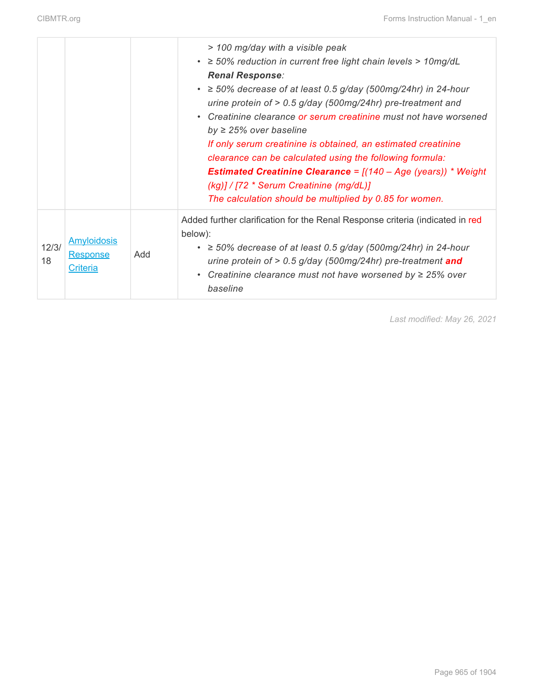|             |                                                   |     | > 100 mg/day with a visible peak<br>$\cdot$ $\geq$ 50% reduction in current free light chain levels > 10mg/dL<br><b>Renal Response:</b><br>$\cdot$ $\geq$ 50% decrease of at least 0.5 g/day (500mg/24hr) in 24-hour<br>urine protein of $> 0.5$ g/day (500mg/24hr) pre-treatment and<br>• Creatinine clearance or serum creatinine must not have worsened<br>by $\geq$ 25% over baseline<br>If only serum creatinine is obtained, an estimated creatinine<br>clearance can be calculated using the following formula:<br><b>Estimated Creatinine Clearance =</b> $[(140 - Age (years)) * Weight$<br>(kg)] / [72 * Serum Creatinine (mg/dL)]<br>The calculation should be multiplied by 0.85 for women. |
|-------------|---------------------------------------------------|-----|---------------------------------------------------------------------------------------------------------------------------------------------------------------------------------------------------------------------------------------------------------------------------------------------------------------------------------------------------------------------------------------------------------------------------------------------------------------------------------------------------------------------------------------------------------------------------------------------------------------------------------------------------------------------------------------------------------|
| 12/3/<br>18 | <b>Amyloidosis</b><br>Response<br><b>Criteria</b> | Add | Added further clarification for the Renal Response criteria (indicated in red<br>below):<br>$\cdot$ $\geq$ 50% decrease of at least 0.5 g/day (500mg/24hr) in 24-hour<br>urine protein of > 0.5 g/day (500mg/24hr) pre-treatment and<br>• Creatinine clearance must not have worsened by $\geq$ 25% over<br>baseline                                                                                                                                                                                                                                                                                                                                                                                    |

*Last modified: May 26, 2021*